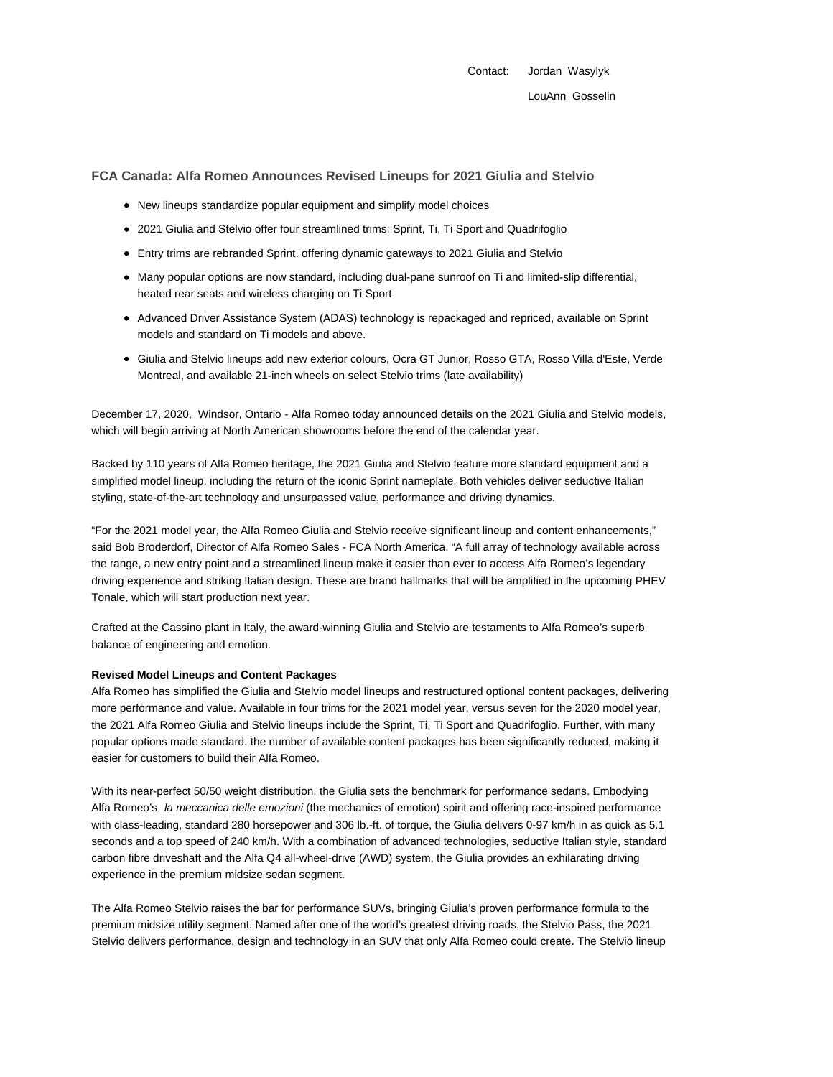Contact: Jordan Wasylyk

# **FCA Canada: Alfa Romeo Announces Revised Lineups for 2021 Giulia and Stelvio**

- New lineups standardize popular equipment and simplify model choices
- 2021 Giulia and Stelvio offer four streamlined trims: Sprint, Ti, Ti Sport and Quadrifoglio
- Entry trims are rebranded Sprint, offering dynamic gateways to 2021 Giulia and Stelvio
- Many popular options are now standard, including dual-pane sunroof on Ti and limited-slip differential, heated rear seats and wireless charging on Ti Sport
- Advanced Driver Assistance System (ADAS) technology is repackaged and repriced, available on Sprint models and standard on Ti models and above.
- Giulia and Stelvio lineups add new exterior colours, Ocra GT Junior, Rosso GTA, Rosso Villa d'Este, Verde Montreal, and available 21-inch wheels on select Stelvio trims (late availability)

December 17, 2020, Windsor, Ontario - Alfa Romeo today announced details on the 2021 Giulia and Stelvio models, which will begin arriving at North American showrooms before the end of the calendar year.

Backed by 110 years of Alfa Romeo heritage, the 2021 Giulia and Stelvio feature more standard equipment and a simplified model lineup, including the return of the iconic Sprint nameplate. Both vehicles deliver seductive Italian styling, state-of-the-art technology and unsurpassed value, performance and driving dynamics.

"For the 2021 model year, the Alfa Romeo Giulia and Stelvio receive significant lineup and content enhancements," said Bob Broderdorf, Director of Alfa Romeo Sales - FCA North America. "A full array of technology available across the range, a new entry point and a streamlined lineup make it easier than ever to access Alfa Romeo's legendary driving experience and striking Italian design. These are brand hallmarks that will be amplified in the upcoming PHEV Tonale, which will start production next year.

Crafted at the Cassino plant in Italy, the award-winning Giulia and Stelvio are testaments to Alfa Romeo's superb balance of engineering and emotion.

## **Revised Model Lineups and Content Packages**

Alfa Romeo has simplified the Giulia and Stelvio model lineups and restructured optional content packages, delivering more performance and value. Available in four trims for the 2021 model year, versus seven for the 2020 model year, the 2021 Alfa Romeo Giulia and Stelvio lineups include the Sprint, Ti, Ti Sport and Quadrifoglio. Further, with many popular options made standard, the number of available content packages has been significantly reduced, making it easier for customers to build their Alfa Romeo.

With its near-perfect 50/50 weight distribution, the Giulia sets the benchmark for performance sedans. Embodying Alfa Romeo's la meccanica delle emozioni (the mechanics of emotion) spirit and offering race-inspired performance with class-leading, standard 280 horsepower and 306 lb.-ft. of torque, the Giulia delivers 0-97 km/h in as quick as 5.1 seconds and a top speed of 240 km/h. With a combination of advanced technologies, seductive Italian style, standard carbon fibre driveshaft and the Alfa Q4 all-wheel-drive (AWD) system, the Giulia provides an exhilarating driving experience in the premium midsize sedan segment.

The Alfa Romeo Stelvio raises the bar for performance SUVs, bringing Giulia's proven performance formula to the premium midsize utility segment. Named after one of the world's greatest driving roads, the Stelvio Pass, the 2021 Stelvio delivers performance, design and technology in an SUV that only Alfa Romeo could create. The Stelvio lineup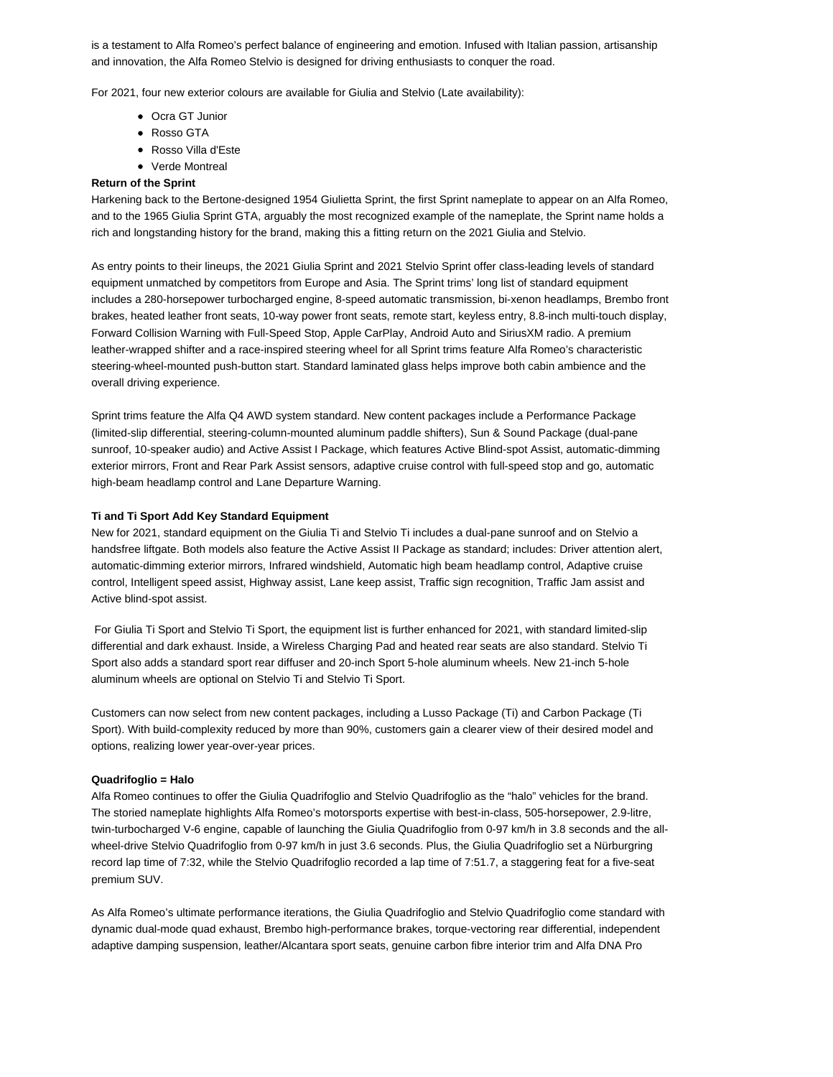is a testament to Alfa Romeo's perfect balance of engineering and emotion. Infused with Italian passion, artisanship and innovation, the Alfa Romeo Stelvio is designed for driving enthusiasts to conquer the road.

For 2021, four new exterior colours are available for Giulia and Stelvio (Late availability):

- Ocra GT Junior
- Rosso GTA
- Rosso Villa d'Este
- Verde Montreal

#### **Return of the Sprint**

Harkening back to the Bertone-designed 1954 Giulietta Sprint, the first Sprint nameplate to appear on an Alfa Romeo, and to the 1965 Giulia Sprint GTA, arguably the most recognized example of the nameplate, the Sprint name holds a rich and longstanding history for the brand, making this a fitting return on the 2021 Giulia and Stelvio.

As entry points to their lineups, the 2021 Giulia Sprint and 2021 Stelvio Sprint offer class-leading levels of standard equipment unmatched by competitors from Europe and Asia. The Sprint trims' long list of standard equipment includes a 280-horsepower turbocharged engine, 8-speed automatic transmission, bi-xenon headlamps, Brembo front brakes, heated leather front seats, 10-way power front seats, remote start, keyless entry, 8.8-inch multi-touch display, Forward Collision Warning with Full-Speed Stop, Apple CarPlay, Android Auto and SiriusXM radio. A premium leather-wrapped shifter and a race-inspired steering wheel for all Sprint trims feature Alfa Romeo's characteristic steering-wheel-mounted push-button start. Standard laminated glass helps improve both cabin ambience and the overall driving experience.

Sprint trims feature the Alfa Q4 AWD system standard. New content packages include a Performance Package (limited-slip differential, steering-column-mounted aluminum paddle shifters), Sun & Sound Package (dual-pane sunroof, 10-speaker audio) and Active Assist I Package, which features Active Blind-spot Assist, automatic-dimming exterior mirrors, Front and Rear Park Assist sensors, adaptive cruise control with full-speed stop and go, automatic high-beam headlamp control and Lane Departure Warning.

#### **Ti and Ti Sport Add Key Standard Equipment**

New for 2021, standard equipment on the Giulia Ti and Stelvio Ti includes a dual-pane sunroof and on Stelvio a handsfree liftgate. Both models also feature the Active Assist II Package as standard; includes: Driver attention alert, automatic-dimming exterior mirrors, Infrared windshield, Automatic high beam headlamp control, Adaptive cruise control, Intelligent speed assist, Highway assist, Lane keep assist, Traffic sign recognition, Traffic Jam assist and Active blind-spot assist.

 For Giulia Ti Sport and Stelvio Ti Sport, the equipment list is further enhanced for 2021, with standard limited-slip differential and dark exhaust. Inside, a Wireless Charging Pad and heated rear seats are also standard. Stelvio Ti Sport also adds a standard sport rear diffuser and 20-inch Sport 5-hole aluminum wheels. New 21-inch 5-hole aluminum wheels are optional on Stelvio Ti and Stelvio Ti Sport.

Customers can now select from new content packages, including a Lusso Package (Ti) and Carbon Package (Ti Sport). With build-complexity reduced by more than 90%, customers gain a clearer view of their desired model and options, realizing lower year-over-year prices.

#### **Quadrifoglio = Halo**

Alfa Romeo continues to offer the Giulia Quadrifoglio and Stelvio Quadrifoglio as the "halo" vehicles for the brand. The storied nameplate highlights Alfa Romeo's motorsports expertise with best-in-class, 505-horsepower, 2.9-litre, twin-turbocharged V-6 engine, capable of launching the Giulia Quadrifoglio from 0-97 km/h in 3.8 seconds and the allwheel-drive Stelvio Quadrifoglio from 0-97 km/h in just 3.6 seconds. Plus, the Giulia Quadrifoglio set a Nürburgring record lap time of 7:32, while the Stelvio Quadrifoglio recorded a lap time of 7:51.7, a staggering feat for a five-seat premium SUV.

As Alfa Romeo's ultimate performance iterations, the Giulia Quadrifoglio and Stelvio Quadrifoglio come standard with dynamic dual-mode quad exhaust, Brembo high-performance brakes, torque-vectoring rear differential, independent adaptive damping suspension, leather/Alcantara sport seats, genuine carbon fibre interior trim and Alfa DNA Pro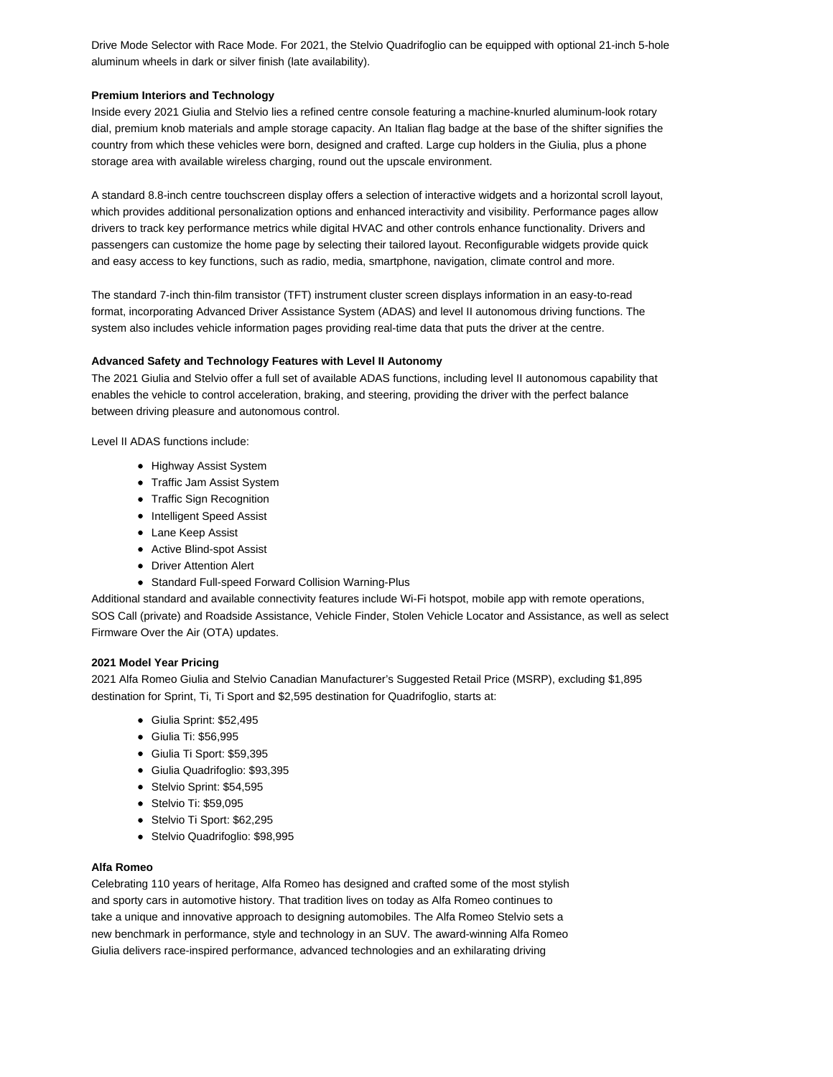Drive Mode Selector with Race Mode. For 2021, the Stelvio Quadrifoglio can be equipped with optional 21-inch 5-hole aluminum wheels in dark or silver finish (late availability).

#### **Premium Interiors and Technology**

Inside every 2021 Giulia and Stelvio lies a refined centre console featuring a machine-knurled aluminum-look rotary dial, premium knob materials and ample storage capacity. An Italian flag badge at the base of the shifter signifies the country from which these vehicles were born, designed and crafted. Large cup holders in the Giulia, plus a phone storage area with available wireless charging, round out the upscale environment.

A standard 8.8-inch centre touchscreen display offers a selection of interactive widgets and a horizontal scroll layout, which provides additional personalization options and enhanced interactivity and visibility. Performance pages allow drivers to track key performance metrics while digital HVAC and other controls enhance functionality. Drivers and passengers can customize the home page by selecting their tailored layout. Reconfigurable widgets provide quick and easy access to key functions, such as radio, media, smartphone, navigation, climate control and more.

The standard 7-inch thin-film transistor (TFT) instrument cluster screen displays information in an easy-to-read format, incorporating Advanced Driver Assistance System (ADAS) and level II autonomous driving functions. The system also includes vehicle information pages providing real-time data that puts the driver at the centre.

### **Advanced Safety and Technology Features with Level II Autonomy**

The 2021 Giulia and Stelvio offer a full set of available ADAS functions, including level II autonomous capability that enables the vehicle to control acceleration, braking, and steering, providing the driver with the perfect balance between driving pleasure and autonomous control.

Level II ADAS functions include:

- Highway Assist System
- Traffic Jam Assist System
- Traffic Sign Recognition
- Intelligent Speed Assist
- Lane Keep Assist
- Active Blind-spot Assist
- Driver Attention Alert
- Standard Full-speed Forward Collision Warning-Plus

Additional standard and available connectivity features include Wi-Fi hotspot, mobile app with remote operations, SOS Call (private) and Roadside Assistance, Vehicle Finder, Stolen Vehicle Locator and Assistance, as well as select Firmware Over the Air (OTA) updates.

### **2021 Model Year Pricing**

2021 Alfa Romeo Giulia and Stelvio Canadian Manufacturer's Suggested Retail Price (MSRP), excluding \$1,895 destination for Sprint, Ti, Ti Sport and \$2,595 destination for Quadrifoglio, starts at:

- Giulia Sprint: \$52,495
- Giulia Ti: \$56,995
- Giulia Ti Sport: \$59,395
- Giulia Quadrifoglio: \$93,395
- Stelvio Sprint: \$54,595
- Stelvio Ti: \$59,095
- Stelvio Ti Sport: \$62,295
- Stelvio Quadrifoglio: \$98,995

## **Alfa Romeo**

Celebrating 110 years of heritage, Alfa Romeo has designed and crafted some of the most stylish and sporty cars in automotive history. That tradition lives on today as Alfa Romeo continues to take a unique and innovative approach to designing automobiles. The Alfa Romeo Stelvio sets a new benchmark in performance, style and technology in an SUV. The award-winning Alfa Romeo Giulia delivers race-inspired performance, advanced technologies and an exhilarating driving